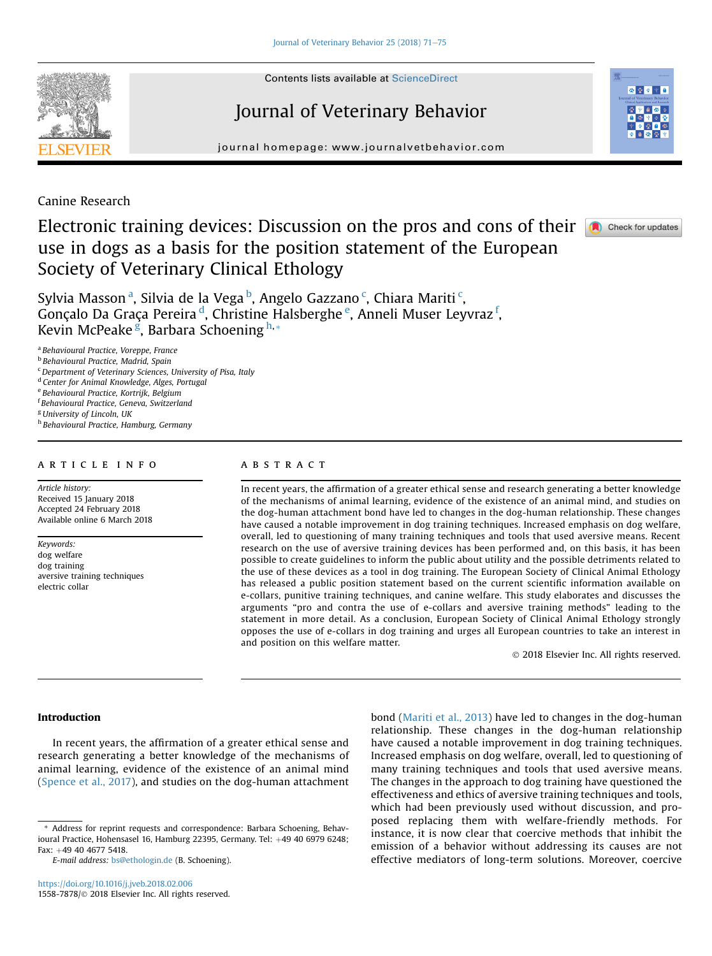<span id="page-0-0"></span>

**Contents lists available at ScienceDirect** 

# Journal of Veterinary Behavior



journal homepage: [www.journalvetbehavior.com](http://www.journalvetbehavior.com)

Canine Research

# Electronic training devices: Discussion on the pros and cons of their **a** Check for updates use in dogs as a basis for the position statement of the European Society of Veterinary Clinical Ethology

Sylvia Masson $^{\rm a}$ , Silvia de la Vega $^{\rm b}$ , Angelo Gazzano $^{\rm c}$ , Chiara Mariti $^{\rm c}$ , Gonçalo Da Graça Pereira <sup>d</sup>, Christine Halsberghe <sup>e</sup>, Anneli Muser Leyvraz <sup>f</sup>, Kevin McPeake <sup>g</sup>, Barbara Schoening <sup>h,</sup>\*

<sup>a</sup> Behavioural Practice, Voreppe, France

<sup>b</sup> Behavioural Practice, Madrid, Spain

<sup>c</sup> Department of Veterinary Sciences, University of Pisa, Italy

<sup>d</sup> Center for Animal Knowledge, Alges, Portugal

<sup>e</sup> Behavioural Practice, Kortrijk, Belgium

f Behavioural Practice, Geneva, Switzerland

<sup>g</sup> University of Lincoln, UK

h Behavioural Practice, Hamburg, Germany

## article info

Article history: Received 15 January 2018 Accepted 24 February 2018 Available online 6 March 2018

Keywords: dog welfare dog training aversive training techniques electric collar

# A B S T R A C T

In recent years, the affirmation of a greater ethical sense and research generating a better knowledge of the mechanisms of animal learning, evidence of the existence of an animal mind, and studies on the dog-human attachment bond have led to changes in the dog-human relationship. These changes have caused a notable improvement in dog training techniques. Increased emphasis on dog welfare, overall, led to questioning of many training techniques and tools that used aversive means. Recent research on the use of aversive training devices has been performed and, on this basis, it has been possible to create guidelines to inform the public about utility and the possible detriments related to the use of these devices as a tool in dog training. The European Society of Clinical Animal Ethology has released a public position statement based on the current scientific information available on e-collars, punitive training techniques, and canine welfare. This study elaborates and discusses the arguments "pro and contra the use of e-collars and aversive training methods" leading to the statement in more detail. As a conclusion, European Society of Clinical Animal Ethology strongly opposes the use of e-collars in dog training and urges all European countries to take an interest in and position on this welfare matter.

2018 Elsevier Inc. All rights reserved.

# Introduction

In recent years, the affirmation of a greater ethical sense and research generating a better knowledge of the mechanisms of animal learning, evidence of the existence of an animal mind ([Spence et al., 2017](#page-4-0)), and studies on the dog-human attachment

bond ([Mariti et al., 2013](#page-4-0)) have led to changes in the dog-human relationship. These changes in the dog-human relationship have caused a notable improvement in dog training techniques. Increased emphasis on dog welfare, overall, led to questioning of many training techniques and tools that used aversive means. The changes in the approach to dog training have questioned the effectiveness and ethics of aversive training techniques and tools, which had been previously used without discussion, and proposed replacing them with welfare-friendly methods. For instance, it is now clear that coercive methods that inhibit the emission of a behavior without addressing its causes are not effective mediators of long-term solutions. Moreover, coercive

<sup>\*</sup> Address for reprint requests and correspondence: Barbara Schoening, Behavioural Practice, Hohensasel 16, Hamburg 22395, Germany. Tel:  $+49$  40 6979 6248; Fax: +49 40 4677 5418.

E-mail address: [bs@ethologin.de](mailto:bs@ethologin.de) (B. Schoening).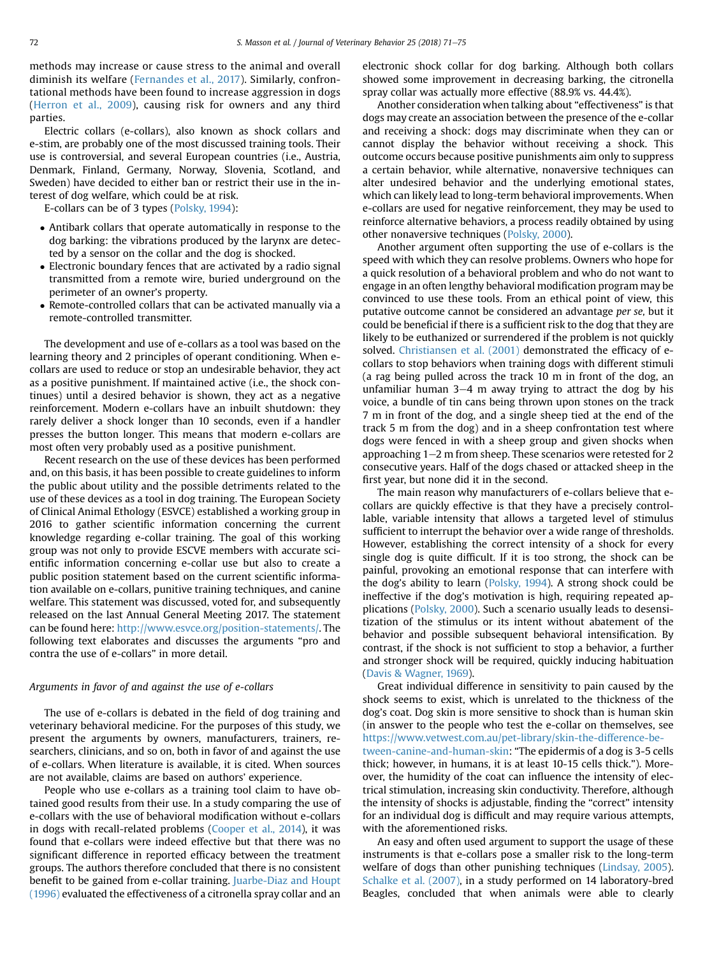methods may increase or cause stress to the animal and overall diminish its welfare ([Fernandes et al., 2017\)](#page-4-0). Similarly, confrontational methods have been found to increase aggression in dogs ([Herron et al., 2009\)](#page-4-0), causing risk for owners and any third parties.

Electric collars (e-collars), also known as shock collars and e-stim, are probably one of the most discussed training tools. Their use is controversial, and several European countries (i.e., Austria, Denmark, Finland, Germany, Norway, Slovenia, Scotland, and Sweden) have decided to either ban or restrict their use in the interest of dog welfare, which could be at risk.

E-collars can be of 3 types ([Polsky, 1994](#page-4-0)):

- Antibark collars that operate automatically in response to the dog barking: the vibrations produced by the larynx are detected by a sensor on the collar and the dog is shocked.
- Electronic boundary fences that are activated by a radio signal transmitted from a remote wire, buried underground on the perimeter of an owner's property.
- Remote-controlled collars that can be activated manually via a remote-controlled transmitter.

The development and use of e-collars as a tool was based on the learning theory and 2 principles of operant conditioning. When ecollars are used to reduce or stop an undesirable behavior, they act as a positive punishment. If maintained active (i.e., the shock continues) until a desired behavior is shown, they act as a negative reinforcement. Modern e-collars have an inbuilt shutdown: they rarely deliver a shock longer than 10 seconds, even if a handler presses the button longer. This means that modern e-collars are most often very probably used as a positive punishment.

Recent research on the use of these devices has been performed and, on this basis, it has been possible to create guidelines to inform the public about utility and the possible detriments related to the use of these devices as a tool in dog training. The European Society of Clinical Animal Ethology (ESVCE) established a working group in 2016 to gather scientific information concerning the current knowledge regarding e-collar training. The goal of this working group was not only to provide ESCVE members with accurate scientific information concerning e-collar use but also to create a public position statement based on the current scientific information available on e-collars, punitive training techniques, and canine welfare. This statement was discussed, voted for, and subsequently released on the last Annual General Meeting 2017. The statement can be found here: <http://www.esvce.org/position-statements/>. The following text elaborates and discusses the arguments "pro and contra the use of e-collars" in more detail.

#### Arguments in favor of and against the use of e-collars

The use of e-collars is debated in the field of dog training and veterinary behavioral medicine. For the purposes of this study, we present the arguments by owners, manufacturers, trainers, researchers, clinicians, and so on, both in favor of and against the use of e-collars. When literature is available, it is cited. When sources are not available, claims are based on authors' experience.

People who use e-collars as a training tool claim to have obtained good results from their use. In a study comparing the use of e-collars with the use of behavioral modification without e-collars in dogs with recall-related problems ([Cooper et al., 2014](#page-4-0)), it was found that e-collars were indeed effective but that there was no significant difference in reported efficacy between the treatment groups. The authors therefore concluded that there is no consistent benefit to be gained from e-collar training. [Juarbe-Diaz and Houpt](#page-4-0) [\(1996\)](#page-4-0) evaluated the effectiveness of a citronella spray collar and an

electronic shock collar for dog barking. Although both collars showed some improvement in decreasing barking, the citronella spray collar was actually more effective (88.9% vs. 44.4%).

Another consideration when talking about "effectiveness" is that dogs may create an association between the presence of the e-collar and receiving a shock: dogs may discriminate when they can or cannot display the behavior without receiving a shock. This outcome occurs because positive punishments aim only to suppress a certain behavior, while alternative, nonaversive techniques can alter undesired behavior and the underlying emotional states, which can likely lead to long-term behavioral improvements. When e-collars are used for negative reinforcement, they may be used to reinforce alternative behaviors, a process readily obtained by using other nonaversive techniques ([Polsky, 2000\)](#page-4-0).

Another argument often supporting the use of e-collars is the speed with which they can resolve problems. Owners who hope for a quick resolution of a behavioral problem and who do not want to engage in an often lengthy behavioral modification program may be convinced to use these tools. From an ethical point of view, this putative outcome cannot be considered an advantage per se, but it could be beneficial if there is a sufficient risk to the dog that they are likely to be euthanized or surrendered if the problem is not quickly solved. [Christiansen et al. \(2001\)](#page-4-0) demonstrated the efficacy of ecollars to stop behaviors when training dogs with different stimuli (a rag being pulled across the track 10 m in front of the dog, an unfamiliar human  $3-4$  m away trying to attract the dog by his voice, a bundle of tin cans being thrown upon stones on the track 7 m in front of the dog, and a single sheep tied at the end of the track 5 m from the dog) and in a sheep confrontation test where dogs were fenced in with a sheep group and given shocks when approaching  $1-2$  m from sheep. These scenarios were retested for  $2$ consecutive years. Half of the dogs chased or attacked sheep in the first year, but none did it in the second.

The main reason why manufacturers of e-collars believe that ecollars are quickly effective is that they have a precisely controllable, variable intensity that allows a targeted level of stimulus sufficient to interrupt the behavior over a wide range of thresholds. However, establishing the correct intensity of a shock for every single dog is quite difficult. If it is too strong, the shock can be painful, provoking an emotional response that can interfere with the dog's ability to learn ([Polsky, 1994\)](#page-4-0). A strong shock could be ineffective if the dog's motivation is high, requiring repeated ap-plications ([Polsky, 2000\)](#page-4-0). Such a scenario usually leads to desensitization of the stimulus or its intent without abatement of the behavior and possible subsequent behavioral intensification. By contrast, if the shock is not sufficient to stop a behavior, a further and stronger shock will be required, quickly inducing habituation ([Davis & Wagner, 1969](#page-4-0)).

Great individual difference in sensitivity to pain caused by the shock seems to exist, which is unrelated to the thickness of the dog's coat. Dog skin is more sensitive to shock than is human skin (in answer to the people who test the e-collar on themselves, see [https://www.vetwest.com.au/pet-library/skin-the-difference-be](https://www.vetwest.com.au/pet-library/skin-the-difference-between-canine-and-human-skin)[tween-canine-and-human-skin:](https://www.vetwest.com.au/pet-library/skin-the-difference-between-canine-and-human-skin) "The epidermis of a dog is 3-5 cells thick; however, in humans, it is at least 10-15 cells thick."). Moreover, the humidity of the coat can influence the intensity of electrical stimulation, increasing skin conductivity. Therefore, although the intensity of shocks is adjustable, finding the "correct" intensity for an individual dog is difficult and may require various attempts, with the aforementioned risks.

An easy and often used argument to support the usage of these instruments is that e-collars pose a smaller risk to the long-term welfare of dogs than other punishing techniques ([Lindsay, 2005](#page-4-0)). [Schalke et al. \(2007\)](#page-4-0), in a study performed on 14 laboratory-bred Beagles, concluded that when animals were able to clearly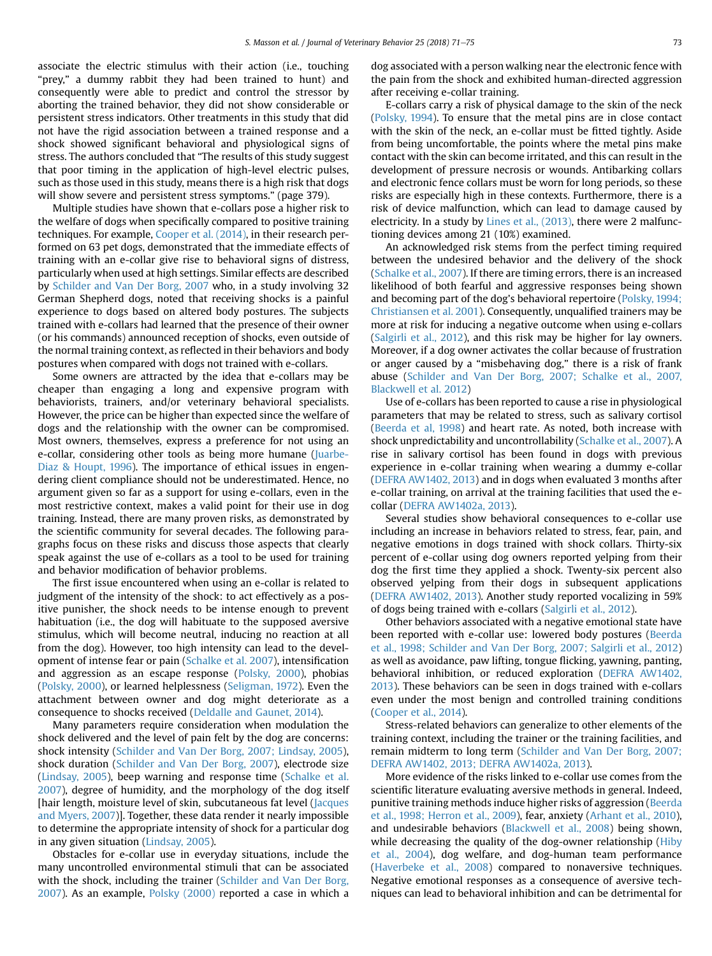associate the electric stimulus with their action (i.e., touching "prey," a dummy rabbit they had been trained to hunt) and consequently were able to predict and control the stressor by aborting the trained behavior, they did not show considerable or persistent stress indicators. Other treatments in this study that did not have the rigid association between a trained response and a shock showed significant behavioral and physiological signs of stress. The authors concluded that "The results of this study suggest that poor timing in the application of high-level electric pulses, such as those used in this study, means there is a high risk that dogs will show severe and persistent stress symptoms." (page 379).

Multiple studies have shown that e-collars pose a higher risk to the welfare of dogs when specifically compared to positive training techniques. For example, [Cooper et al. \(2014\)](#page-4-0), in their research performed on 63 pet dogs, demonstrated that the immediate effects of training with an e-collar give rise to behavioral signs of distress, particularly when used at high settings. Similar effects are described by [Schilder and Van Der Borg, 2007](#page-4-0) who, in a study involving 32 German Shepherd dogs, noted that receiving shocks is a painful experience to dogs based on altered body postures. The subjects trained with e-collars had learned that the presence of their owner (or his commands) announced reception of shocks, even outside of the normal training context, as reflected in their behaviors and body postures when compared with dogs not trained with e-collars.

Some owners are attracted by the idea that e-collars may be cheaper than engaging a long and expensive program with behaviorists, trainers, and/or veterinary behavioral specialists. However, the price can be higher than expected since the welfare of dogs and the relationship with the owner can be compromised. Most owners, themselves, express a preference for not using an e-collar, considering other tools as being more humane ([Juarbe-](#page-4-0)[Diaz & Houpt, 1996\)](#page-4-0). The importance of ethical issues in engendering client compliance should not be underestimated. Hence, no argument given so far as a support for using e-collars, even in the most restrictive context, makes a valid point for their use in dog training. Instead, there are many proven risks, as demonstrated by the scientific community for several decades. The following paragraphs focus on these risks and discuss those aspects that clearly speak against the use of e-collars as a tool to be used for training and behavior modification of behavior problems.

The first issue encountered when using an e-collar is related to judgment of the intensity of the shock: to act effectively as a positive punisher, the shock needs to be intense enough to prevent habituation (i.e., the dog will habituate to the supposed aversive stimulus, which will become neutral, inducing no reaction at all from the dog). However, too high intensity can lead to the development of intense fear or pain ([Schalke et al. 2007](#page-4-0)), intensification and aggression as an escape response ([Polsky, 2000](#page-4-0)), phobias ([Polsky, 2000\)](#page-4-0), or learned helplessness [\(Seligman, 1972](#page-4-0)). Even the attachment between owner and dog might deteriorate as a consequence to shocks received ([Deldalle and Gaunet, 2014\)](#page-4-0).

Many parameters require consideration when modulation the shock delivered and the level of pain felt by the dog are concerns: shock intensity [\(Schilder and Van Der Borg, 2007; Lindsay, 2005](#page-4-0)), shock duration [\(Schilder and Van Der Borg, 2007\)](#page-4-0), electrode size ([Lindsay, 2005\)](#page-4-0), beep warning and response time ([Schalke et al.](#page-4-0) [2007\)](#page-4-0), degree of humidity, and the morphology of the dog itself [hair length, moisture level of skin, subcutaneous fat level [\(Jacques](#page-4-0) [and Myers, 2007](#page-4-0))]. Together, these data render it nearly impossible to determine the appropriate intensity of shock for a particular dog in any given situation [\(Lindsay, 2005](#page-4-0)).

Obstacles for e-collar use in everyday situations, include the many uncontrolled environmental stimuli that can be associated with the shock, including the trainer [\(Schilder and Van Der Borg,](#page-4-0) [2007\)](#page-4-0). As an example, [Polsky \(2000\)](#page-4-0) reported a case in which a dog associated with a person walking near the electronic fence with the pain from the shock and exhibited human-directed aggression after receiving e-collar training.

E-collars carry a risk of physical damage to the skin of the neck [\(Polsky, 1994](#page-4-0)). To ensure that the metal pins are in close contact with the skin of the neck, an e-collar must be fitted tightly. Aside from being uncomfortable, the points where the metal pins make contact with the skin can become irritated, and this can result in the development of pressure necrosis or wounds. Antibarking collars and electronic fence collars must be worn for long periods, so these risks are especially high in these contexts. Furthermore, there is a risk of device malfunction, which can lead to damage caused by electricity. In a study by [Lines et al., \(2013\),](#page-4-0) there were 2 malfunctioning devices among 21 (10%) examined.

An acknowledged risk stems from the perfect timing required between the undesired behavior and the delivery of the shock [\(Schalke et al., 2007](#page-4-0)). If there are timing errors, there is an increased likelihood of both fearful and aggressive responses being shown and becoming part of the dog's behavioral repertoire [\(Polsky, 1994;](#page-4-0) [Christiansen et al. 2001\)](#page-4-0). Consequently, unqualified trainers may be more at risk for inducing a negative outcome when using e-collars [\(Salgirli et al., 2012](#page-4-0)), and this risk may be higher for lay owners. Moreover, if a dog owner activates the collar because of frustration or anger caused by a "misbehaving dog," there is a risk of frank abuse ([Schilder and Van Der Borg, 2007; Schalke et al., 2007,](#page-4-0) [Blackwell et al. 2012](#page-4-0))

Use of e-collars has been reported to cause a rise in physiological parameters that may be related to stress, such as salivary cortisol [\(Beerda et al, 1998](#page-4-0)) and heart rate. As noted, both increase with shock unpredictability and uncontrollability [\(Schalke et al., 2007\)](#page-4-0). A rise in salivary cortisol has been found in dogs with previous experience in e-collar training when wearing a dummy e-collar [\(DEFRA AW1402, 2013\)](#page-4-0) and in dogs when evaluated 3 months after e-collar training, on arrival at the training facilities that used the ecollar ([DEFRA AW1402a, 2013](#page-4-0)).

Several studies show behavioral consequences to e-collar use including an increase in behaviors related to stress, fear, pain, and negative emotions in dogs trained with shock collars. Thirty-six percent of e-collar using dog owners reported yelping from their dog the first time they applied a shock. Twenty-six percent also observed yelping from their dogs in subsequent applications [\(DEFRA AW1402, 2013](#page-4-0)). Another study reported vocalizing in 59% of dogs being trained with e-collars [\(Salgirli et al., 2012\)](#page-4-0).

Other behaviors associated with a negative emotional state have been reported with e-collar use: lowered body postures [\(Beerda](#page-4-0) [et al., 1998; Schilder and Van Der Borg, 2007; Salgirli et al., 2012](#page-4-0)) as well as avoidance, paw lifting, tongue flicking, yawning, panting, behavioral inhibition, or reduced exploration [\(DEFRA AW1402,](#page-4-0) [2013\)](#page-4-0). These behaviors can be seen in dogs trained with e-collars even under the most benign and controlled training conditions [\(Cooper et al., 2014](#page-4-0)).

Stress-related behaviors can generalize to other elements of the training context, including the trainer or the training facilities, and remain midterm to long term ([Schilder and Van Der Borg, 2007;](#page-4-0) [DEFRA AW1402, 2013; DEFRA AW1402a, 2013\)](#page-4-0).

More evidence of the risks linked to e-collar use comes from the scientific literature evaluating aversive methods in general. Indeed, punitive training methods induce higher risks of aggression [\(Beerda](#page-4-0) [et al., 1998; Herron et al., 2009\)](#page-4-0), fear, anxiety ([Arhant et al., 2010](#page-4-0)), and undesirable behaviors [\(Blackwell et al., 2008\)](#page-4-0) being shown, while decreasing the quality of the dog-owner relationship [\(Hiby](#page-4-0) [et al., 2004](#page-4-0)), dog welfare, and dog-human team performance [\(Haverbeke et al., 2008](#page-4-0)) compared to nonaversive techniques. Negative emotional responses as a consequence of aversive techniques can lead to behavioral inhibition and can be detrimental for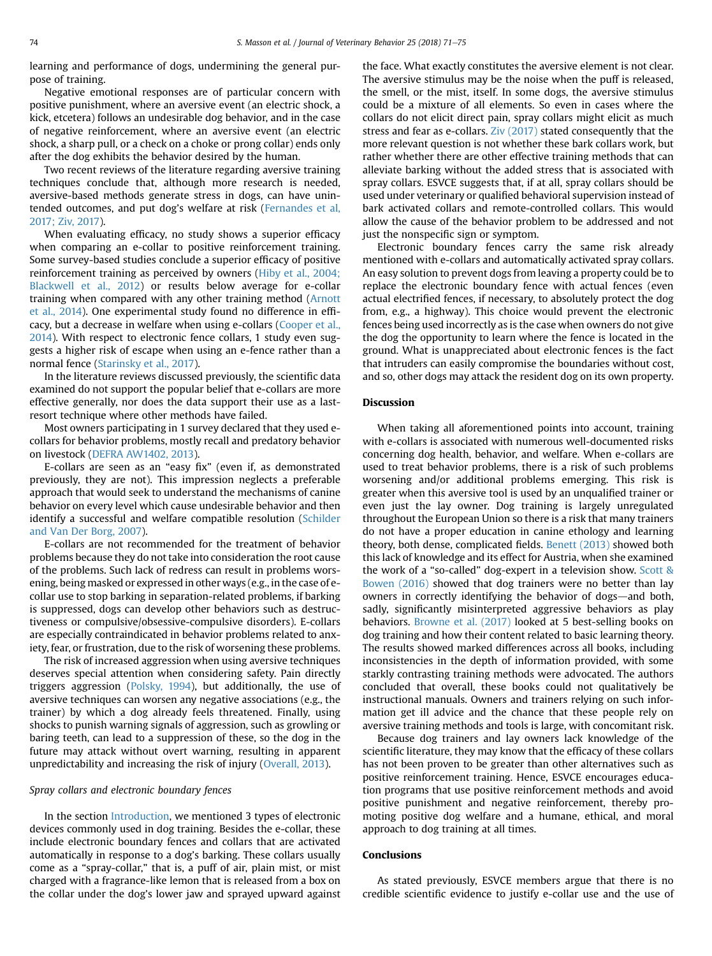learning and performance of dogs, undermining the general purpose of training.

Negative emotional responses are of particular concern with positive punishment, where an aversive event (an electric shock, a kick, etcetera) follows an undesirable dog behavior, and in the case of negative reinforcement, where an aversive event (an electric shock, a sharp pull, or a check on a choke or prong collar) ends only after the dog exhibits the behavior desired by the human.

Two recent reviews of the literature regarding aversive training techniques conclude that, although more research is needed, aversive-based methods generate stress in dogs, can have unintended outcomes, and put dog's welfare at risk [\(Fernandes et al,](#page-4-0) [2017; Ziv, 2017\)](#page-4-0).

When evaluating efficacy, no study shows a superior efficacy when comparing an e-collar to positive reinforcement training. Some survey-based studies conclude a superior efficacy of positive reinforcement training as perceived by owners [\(Hiby et al., 2004;](#page-4-0) [Blackwell et al., 2012](#page-4-0)) or results below average for e-collar training when compared with any other training method [\(Arnott](#page-4-0) [et al., 2014](#page-4-0)). One experimental study found no difference in efficacy, but a decrease in welfare when using e-collars [\(Cooper et al.,](#page-4-0) [2014](#page-4-0)). With respect to electronic fence collars, 1 study even suggests a higher risk of escape when using an e-fence rather than a normal fence [\(Starinsky et al., 2017](#page-4-0)).

In the literature reviews discussed previously, the scientific data examined do not support the popular belief that e-collars are more effective generally, nor does the data support their use as a lastresort technique where other methods have failed.

Most owners participating in 1 survey declared that they used ecollars for behavior problems, mostly recall and predatory behavior on livestock ([DEFRA AW1402, 2013\)](#page-4-0).

E-collars are seen as an "easy fix" (even if, as demonstrated previously, they are not). This impression neglects a preferable approach that would seek to understand the mechanisms of canine behavior on every level which cause undesirable behavior and then identify a successful and welfare compatible resolution ([Schilder](#page-4-0) [and Van Der Borg, 2007\)](#page-4-0).

E-collars are not recommended for the treatment of behavior problems because they do not take into consideration the root cause of the problems. Such lack of redress can result in problems worsening, being masked or expressed in other ways (e.g., in the case of ecollar use to stop barking in separation-related problems, if barking is suppressed, dogs can develop other behaviors such as destructiveness or compulsive/obsessive-compulsive disorders). E-collars are especially contraindicated in behavior problems related to anxiety, fear, or frustration, due to the risk of worsening these problems.

The risk of increased aggression when using aversive techniques deserves special attention when considering safety. Pain directly triggers aggression ([Polsky, 1994](#page-4-0)), but additionally, the use of aversive techniques can worsen any negative associations (e.g., the trainer) by which a dog already feels threatened. Finally, using shocks to punish warning signals of aggression, such as growling or baring teeth, can lead to a suppression of these, so the dog in the future may attack without overt warning, resulting in apparent unpredictability and increasing the risk of injury [\(Overall, 2013\)](#page-4-0).

### Spray collars and electronic boundary fences

In the section [Introduction](#page-0-0), we mentioned 3 types of electronic devices commonly used in dog training. Besides the e-collar, these include electronic boundary fences and collars that are activated automatically in response to a dog's barking. These collars usually come as a "spray-collar," that is, a puff of air, plain mist, or mist charged with a fragrance-like lemon that is released from a box on the collar under the dog's lower jaw and sprayed upward against

the face. What exactly constitutes the aversive element is not clear. The aversive stimulus may be the noise when the puff is released, the smell, or the mist, itself. In some dogs, the aversive stimulus could be a mixture of all elements. So even in cases where the collars do not elicit direct pain, spray collars might elicit as much stress and fear as e-collars. [Ziv \(2017\)](#page-4-0) stated consequently that the more relevant question is not whether these bark collars work, but rather whether there are other effective training methods that can alleviate barking without the added stress that is associated with spray collars. ESVCE suggests that, if at all, spray collars should be used under veterinary or qualified behavioral supervision instead of bark activated collars and remote-controlled collars. This would allow the cause of the behavior problem to be addressed and not just the nonspecific sign or symptom.

Electronic boundary fences carry the same risk already mentioned with e-collars and automatically activated spray collars. An easy solution to prevent dogs from leaving a property could be to replace the electronic boundary fence with actual fences (even actual electrified fences, if necessary, to absolutely protect the dog from, e.g., a highway). This choice would prevent the electronic fences being used incorrectly as is the case when owners do not give the dog the opportunity to learn where the fence is located in the ground. What is unappreciated about electronic fences is the fact that intruders can easily compromise the boundaries without cost, and so, other dogs may attack the resident dog on its own property.

## **Discussion**

When taking all aforementioned points into account, training with e-collars is associated with numerous well-documented risks concerning dog health, behavior, and welfare. When e-collars are used to treat behavior problems, there is a risk of such problems worsening and/or additional problems emerging. This risk is greater when this aversive tool is used by an unqualified trainer or even just the lay owner. Dog training is largely unregulated throughout the European Union so there is a risk that many trainers do not have a proper education in canine ethology and learning theory, both dense, complicated fields. [Benett \(2013\)](#page-4-0) showed both this lack of knowledge and its effect for Austria, when she examined the work of a "so-called" dog-expert in a television show. [Scott &](#page-4-0) [Bowen \(2016\)](#page-4-0) showed that dog trainers were no better than lay owners in correctly identifying the behavior of dogs-and both, sadly, significantly misinterpreted aggressive behaviors as play behaviors. [Browne et al. \(2017\)](#page-4-0) looked at 5 best-selling books on dog training and how their content related to basic learning theory. The results showed marked differences across all books, including inconsistencies in the depth of information provided, with some starkly contrasting training methods were advocated. The authors concluded that overall, these books could not qualitatively be instructional manuals. Owners and trainers relying on such information get ill advice and the chance that these people rely on aversive training methods and tools is large, with concomitant risk.

Because dog trainers and lay owners lack knowledge of the scientific literature, they may know that the efficacy of these collars has not been proven to be greater than other alternatives such as positive reinforcement training. Hence, ESVCE encourages education programs that use positive reinforcement methods and avoid positive punishment and negative reinforcement, thereby promoting positive dog welfare and a humane, ethical, and moral approach to dog training at all times.

### Conclusions

As stated previously, ESVCE members argue that there is no credible scientific evidence to justify e-collar use and the use of